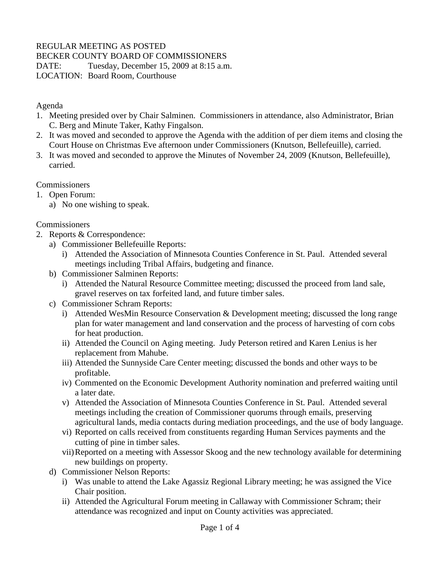## REGULAR MEETING AS POSTED

BECKER COUNTY BOARD OF COMMISSIONERS

DATE: Tuesday, December 15, 2009 at 8:15 a.m.

LOCATION: Board Room, Courthouse

Agenda

- 1. Meeting presided over by Chair Salminen. Commissioners in attendance, also Administrator, Brian C. Berg and Minute Taker, Kathy Fingalson.
- 2. It was moved and seconded to approve the Agenda with the addition of per diem items and closing the Court House on Christmas Eve afternoon under Commissioners (Knutson, Bellefeuille), carried.
- 3. It was moved and seconded to approve the Minutes of November 24, 2009 (Knutson, Bellefeuille), carried.

**Commissioners** 

- 1. Open Forum:
	- a) No one wishing to speak.

#### **Commissioners**

- 2. Reports & Correspondence:
	- a) Commissioner Bellefeuille Reports:
		- i) Attended the Association of Minnesota Counties Conference in St. Paul. Attended several meetings including Tribal Affairs, budgeting and finance.
	- b) Commissioner Salminen Reports:
		- i) Attended the Natural Resource Committee meeting; discussed the proceed from land sale, gravel reserves on tax forfeited land, and future timber sales.
	- c) Commissioner Schram Reports:
		- i) Attended WesMin Resource Conservation & Development meeting; discussed the long range plan for water management and land conservation and the process of harvesting of corn cobs for heat production.
		- ii) Attended the Council on Aging meeting. Judy Peterson retired and Karen Lenius is her replacement from Mahube.
		- iii) Attended the Sunnyside Care Center meeting; discussed the bonds and other ways to be profitable.
		- iv) Commented on the Economic Development Authority nomination and preferred waiting until a later date.
		- v) Attended the Association of Minnesota Counties Conference in St. Paul. Attended several meetings including the creation of Commissioner quorums through emails, preserving agricultural lands, media contacts during mediation proceedings, and the use of body language.
		- vi) Reported on calls received from constituents regarding Human Services payments and the cutting of pine in timber sales.
		- vii)Reported on a meeting with Assessor Skoog and the new technology available for determining new buildings on property.
	- d) Commissioner Nelson Reports:
		- i) Was unable to attend the Lake Agassiz Regional Library meeting; he was assigned the Vice Chair position.
		- ii) Attended the Agricultural Forum meeting in Callaway with Commissioner Schram; their attendance was recognized and input on County activities was appreciated.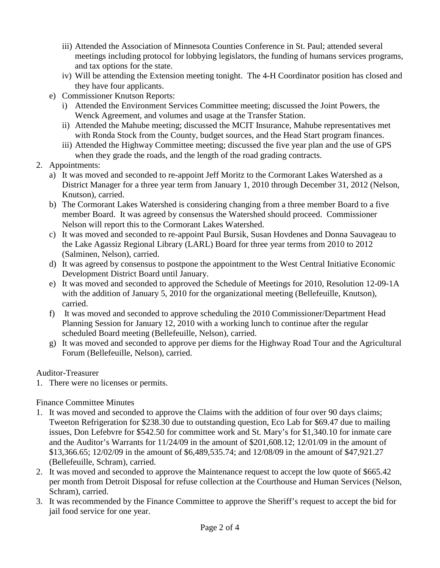- iii) Attended the Association of Minnesota Counties Conference in St. Paul; attended several meetings including protocol for lobbying legislators, the funding of humans services programs, and tax options for the state.
- iv) Will be attending the Extension meeting tonight. The 4-H Coordinator position has closed and they have four applicants.
- e) Commissioner Knutson Reports:
	- i) Attended the Environment Services Committee meeting; discussed the Joint Powers, the Wenck Agreement, and volumes and usage at the Transfer Station.
	- ii) Attended the Mahube meeting; discussed the MCIT Insurance, Mahube representatives met with Ronda Stock from the County, budget sources, and the Head Start program finances.
	- iii) Attended the Highway Committee meeting; discussed the five year plan and the use of GPS when they grade the roads, and the length of the road grading contracts.
- 2. Appointments:
	- a) It was moved and seconded to re-appoint Jeff Moritz to the Cormorant Lakes Watershed as a District Manager for a three year term from January 1, 2010 through December 31, 2012 (Nelson, Knutson), carried.
	- b) The Cormorant Lakes Watershed is considering changing from a three member Board to a five member Board. It was agreed by consensus the Watershed should proceed. Commissioner Nelson will report this to the Cormorant Lakes Watershed.
	- c) It was moved and seconded to re-appoint Paul Bursik, Susan Hovdenes and Donna Sauvageau to the Lake Agassiz Regional Library (LARL) Board for three year terms from 2010 to 2012 (Salminen, Nelson), carried.
	- d) It was agreed by consensus to postpone the appointment to the West Central Initiative Economic Development District Board until January.
	- e) It was moved and seconded to approved the Schedule of Meetings for 2010, Resolution 12-09-1A with the addition of January 5, 2010 for the organizational meeting (Bellefeuille, Knutson), carried.
	- f) It was moved and seconded to approve scheduling the 2010 Commissioner/Department Head Planning Session for January 12, 2010 with a working lunch to continue after the regular scheduled Board meeting (Bellefeuille, Nelson), carried.
	- g) It was moved and seconded to approve per diems for the Highway Road Tour and the Agricultural Forum (Bellefeuille, Nelson), carried.

### Auditor-Treasurer

1. There were no licenses or permits.

Finance Committee Minutes

- 1. It was moved and seconded to approve the Claims with the addition of four over 90 days claims; Tweeton Refrigeration for \$238.30 due to outstanding question, Eco Lab for \$69.47 due to mailing issues, Don Lefebvre for \$542.50 for committee work and St. Mary's for \$1,340.10 for inmate care and the Auditor's Warrants for 11/24/09 in the amount of \$201,608.12; 12/01/09 in the amount of \$13,366.65; 12/02/09 in the amount of \$6,489,535.74; and 12/08/09 in the amount of \$47,921.27 (Bellefeuille, Schram), carried.
- 2. It was moved and seconded to approve the Maintenance request to accept the low quote of \$665.42 per month from Detroit Disposal for refuse collection at the Courthouse and Human Services (Nelson, Schram), carried.
- 3. It was recommended by the Finance Committee to approve the Sheriff's request to accept the bid for jail food service for one year.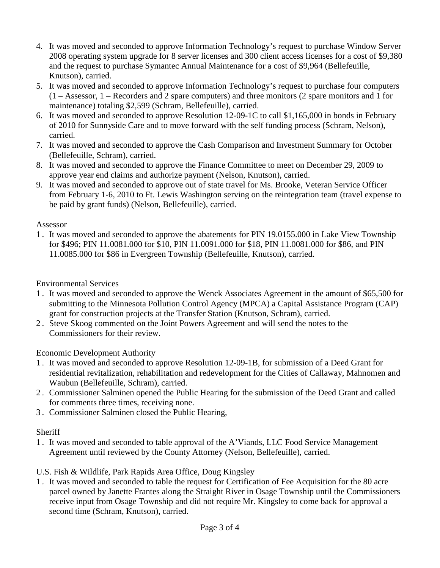- 4. It was moved and seconded to approve Information Technology's request to purchase Window Server 2008 operating system upgrade for 8 server licenses and 300 client access licenses for a cost of \$9,380 and the request to purchase Symantec Annual Maintenance for a cost of \$9,964 (Bellefeuille, Knutson), carried.
- 5. It was moved and seconded to approve Information Technology's request to purchase four computers (1 – Assessor, 1 – Recorders and 2 spare computers) and three monitors (2 spare monitors and 1 for maintenance) totaling \$2,599 (Schram, Bellefeuille), carried.
- 6. It was moved and seconded to approve Resolution 12-09-1C to call \$1,165,000 in bonds in February of 2010 for Sunnyside Care and to move forward with the self funding process (Schram, Nelson), carried.
- 7. It was moved and seconded to approve the Cash Comparison and Investment Summary for October (Bellefeuille, Schram), carried.
- 8. It was moved and seconded to approve the Finance Committee to meet on December 29, 2009 to approve year end claims and authorize payment (Nelson, Knutson), carried.
- 9. It was moved and seconded to approve out of state travel for Ms. Brooke, Veteran Service Officer from February 1-6, 2010 to Ft. Lewis Washington serving on the reintegration team (travel expense to be paid by grant funds) (Nelson, Bellefeuille), carried.

### Assessor

1 . It was moved and seconded to approve the abatements for PIN 19.0155.000 in Lake View Township for \$496; PIN 11.0081.000 for \$10, PIN 11.0091.000 for \$18, PIN 11.0081.000 for \$86, and PIN 11.0085.000 for \$86 in Evergreen Township (Bellefeuille, Knutson), carried.

Environmental Services

- 1 . It was moved and seconded to approve the Wenck Associates Agreement in the amount of \$65,500 for submitting to the Minnesota Pollution Control Agency (MPCA) a Capital Assistance Program (CAP) grant for construction projects at the Transfer Station (Knutson, Schram), carried.
- 2 . Steve Skoog commented on the Joint Powers Agreement and will send the notes to the Commissioners for their review.

Economic Development Authority

- 1 . It was moved and seconded to approve Resolution 12-09-1B, for submission of a Deed Grant for residential revitalization, rehabilitation and redevelopment for the Cities of Callaway, Mahnomen and Waubun (Bellefeuille, Schram), carried.
- 2 . Commissioner Salminen opened the Public Hearing for the submission of the Deed Grant and called for comments three times, receiving none.
- 3 . Commissioner Salminen closed the Public Hearing,

# **Sheriff**

1 . It was moved and seconded to table approval of the A'Viands, LLC Food Service Management Agreement until reviewed by the County Attorney (Nelson, Bellefeuille), carried.

U.S. Fish & Wildlife, Park Rapids Area Office, Doug Kingsley

1 . It was moved and seconded to table the request for Certification of Fee Acquisition for the 80 acre parcel owned by Janette Frantes along the Straight River in Osage Township until the Commissioners receive input from Osage Township and did not require Mr. Kingsley to come back for approval a second time (Schram, Knutson), carried.